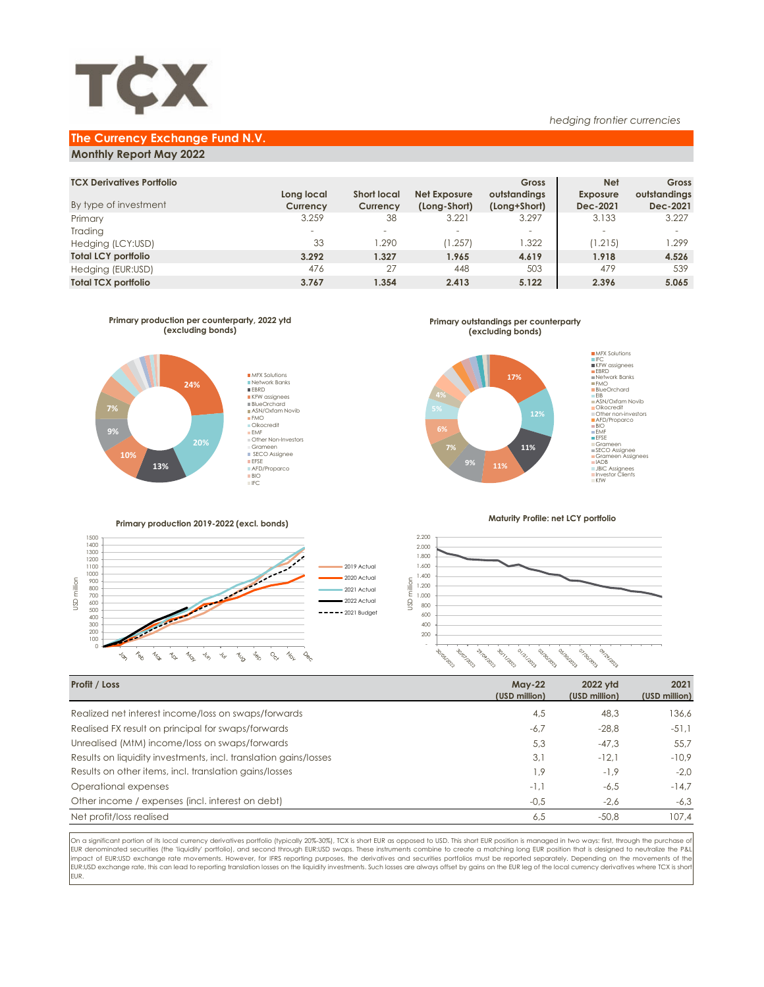

## **The Currency Exchange Fund N.V.**

## **Monthly Report May 2022**

| <b>TCX Derivatives Portfolio</b> |                          |                    |                          | Gross        | <b>Net</b>               | Gross        |
|----------------------------------|--------------------------|--------------------|--------------------------|--------------|--------------------------|--------------|
|                                  | Long local               | <b>Short local</b> | Net Exposure             | outstandings | <b>Exposure</b>          | outstandings |
| By type of investment            | Currency                 | Currency           | (Long-Short)             | (Long+Short) | Dec-2021                 | Dec-2021     |
| Primary                          | 3.259                    | 38                 | 3.221                    | 3.297        | 3.133                    | 3.227        |
| Trading                          | $\overline{\phantom{a}}$ |                    | $\overline{\phantom{a}}$ | -            | $\overline{\phantom{a}}$ |              |
| Hedging (LCY:USD)                | 33                       | 1.290              | (1.257)                  | .322         | (1.215)                  | 1.299        |
| <b>Total LCY portfolio</b>       | 3.292                    | 1.327              | 1.965                    | 4.619        | 1.918                    | 4.526        |
| Hedging (EUR:USD)                | 476                      | 27                 | 448                      | 503          | 479                      | 539          |
| <b>Total TCX portfolio</b>       | 3.767                    | 1.354              | 2.413                    | 5.122        | 2.396                    | 5.065        |
|                                  |                          |                    |                          |              |                          |              |



### **Primary production 2019-2022 (excl. bonds)**



# **Primary outstandings per counterparty**



*hedging frontier currencies*

### **Maturity Profile: net LCY portfolio**



| Profit / Loss                                                    | $M$ av-22<br>(USD million) | 2022 vtd<br>(USD million) | 2021<br>(USD million) |
|------------------------------------------------------------------|----------------------------|---------------------------|-----------------------|
| Realized net interest income/loss on swaps/forwards              | 4,5                        | 48.3                      | 136,6                 |
| Realised FX result on principal for swaps/forwards               | -6,7                       | $-28.8$                   | $-51.1$               |
| Unrealised (MtM) income/loss on swaps/forwards                   | 5.3                        | $-47.3$                   | 55.7                  |
| Results on liquidity investments, incl. translation gains/losses | 3,1                        | $-12.1$                   | $-10.9$               |
| Results on other items, incl. translation gains/losses           | 1,9                        | $-1.9$                    | $-2.0$                |
| Operational expenses                                             | $-1,1$                     | $-6.5$                    | $-14.7$               |
| Other income / expenses (incl. interest on debt)                 | $-0,5$                     | $-2,6$                    | $-6,3$                |
| Net profit/loss realised                                         | 6,5                        | $-50.8$                   | 107,4                 |

On a significant portion of its local currency derivatives portfolio (typically 20%-30%), TCX is short EUR as opposed to USD. This short EUR position is managed in two ways: first, through the purchase of EUR denominated securities (the 'liquidity' portfolio), and second through EUR:USD swaps. These instruments combine to create a matching long EUR position that is designed to neutralize the P&L impact of EUR:USD exchange rate movements. However, for IFRS reporting purposes, the derivatives and securities portfolios must be reported separately. Depending on the movements of the EUR:USD exchange rate, this can lead to reporting translation losses on the liquidity investments. Such losses are always offset by gains on the EUR leg of the local currency derivatives where TCX is shor EUR.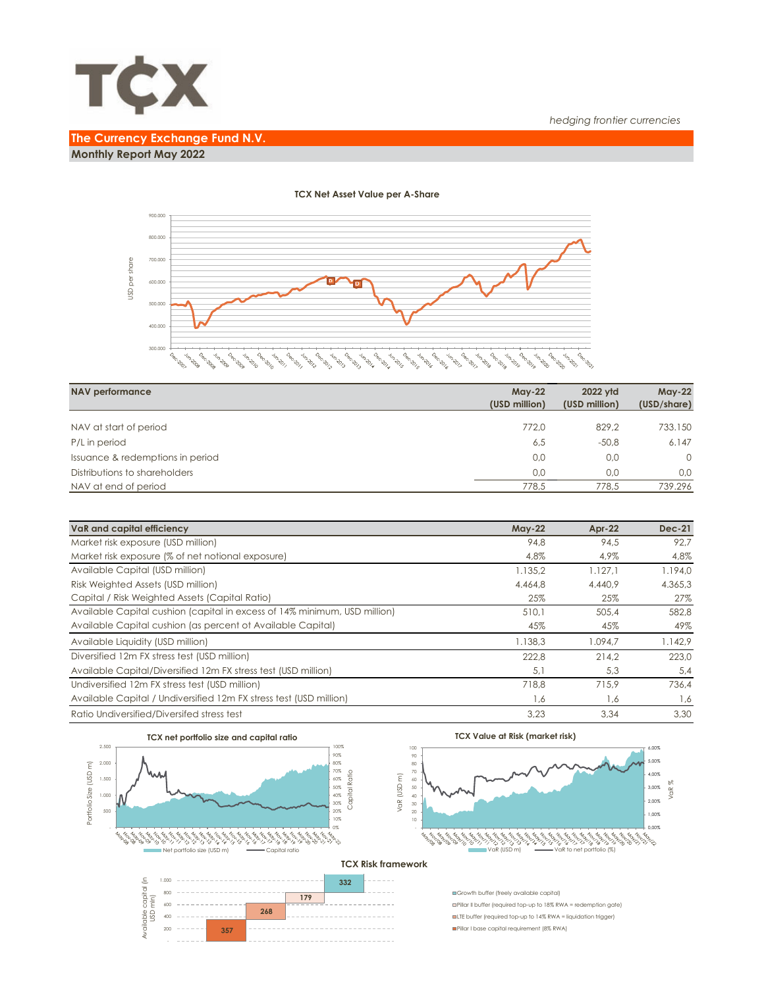

# **The Currency Exchange Fund N.V. Monthly Report May 2022**

 900.000 800.000 700.000 USD per share USD per share 600.000 500.000 400.000 300.0l

| <b>NAV performance</b>           | $Mav-22$<br>(USD million) | 2022 ytd<br>(USD million) | <b>May-22</b><br>(USD/share) |
|----------------------------------|---------------------------|---------------------------|------------------------------|
|                                  |                           |                           |                              |
| NAV at start of period           | 772.0                     | 829.2                     | 733.150                      |
| P/L in period                    | 6,5                       | $-50.8$                   | 6.147                        |
| Issuance & redemptions in period | 0,0                       | 0.0                       | $\Omega$                     |
| Distributions to shareholders    | 0.0                       | 0.0                       | 0.0                          |
| NAV at end of period             | 778.5                     | 778.5                     | 739.296                      |

| VaR and capital efficiency                                                | <b>May-22</b> | Apr-22  | <b>Dec-21</b> |
|---------------------------------------------------------------------------|---------------|---------|---------------|
| Market risk exposure (USD million)                                        | 94.8          | 94.5    | 92.7          |
| Market risk exposure (% of net notional exposure)                         | 4.8%          | 4,9%    | 4,8%          |
| Available Capital (USD million)                                           | 1.135.2       | 1.127.1 | 1.194.0       |
| Risk Weighted Assets (USD million)                                        | 4.464.8       | 4.440.9 | 4.365,3       |
| Capital / Risk Weighted Assets (Capital Ratio)                            | 25%           | 25%     | 27%           |
| Available Capital cushion (capital in excess of 14% minimum, USD million) | 510,1         | 505,4   | 582,8         |
| Available Capital cushion (as percent of Available Capital)               | 45%           | 45%     | 49%           |
| Available Liquidity (USD million)                                         | 1.138,3       | 1.094,7 | 1.142.9       |
| Diversified 12m FX stress test (USD million)                              | 222.8         | 214.2   | 223.0         |
| Available Capital/Diversified 12m FX stress test (USD million)            | 5.1           | 5,3     | 5,4           |
| Undiversified 12m FX stress test (USD million)                            | 718.8         | 715.9   | 736.4         |
| Available Capital / Undiversified 12m FX stress test (USD million)        | 1.6           | 1,6     | 1,6           |
| Ratio Undiversified/Diversifed stress test                                | 3.23          | 3.34    | 3.30          |



### **TCX Net Asset Value per A-Share**